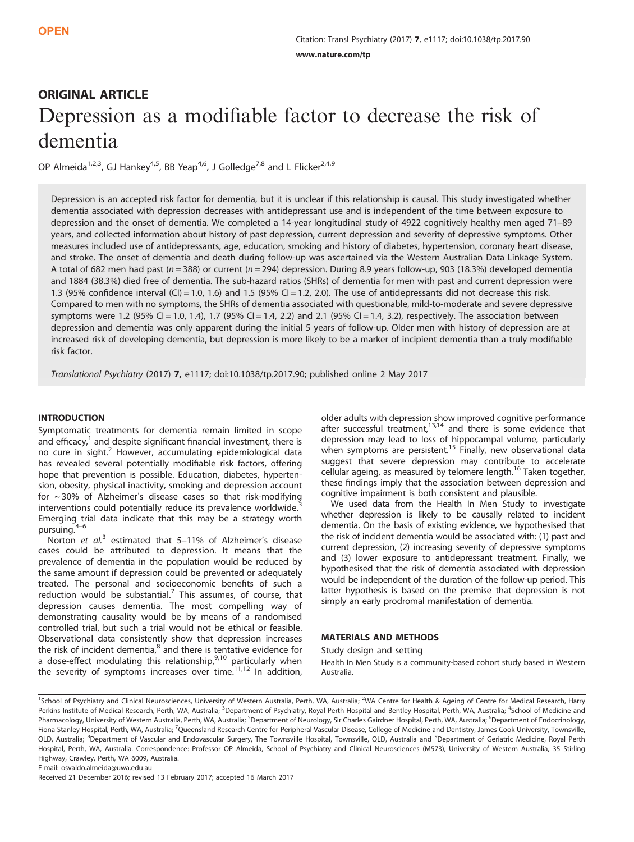[www.nature.com/tp](http://www.nature.com/tp)

# ORIGINAL ARTICLE Depression as a modifiable factor to decrease the risk of dementia

OP Almeida<sup>1,2,3</sup>, GJ Hankey<sup>4,5</sup>, BB Yeap<sup>4,6</sup>, J Golledge<sup>7,8</sup> and L Flicker<sup>2,4,9</sup>

Depression is an accepted risk factor for dementia, but it is unclear if this relationship is causal. This study investigated whether dementia associated with depression decreases with antidepressant use and is independent of the time between exposure to depression and the onset of dementia. We completed a 14-year longitudinal study of 4922 cognitively healthy men aged 71–89 years, and collected information about history of past depression, current depression and severity of depressive symptoms. Other measures included use of antidepressants, age, education, smoking and history of diabetes, hypertension, coronary heart disease, and stroke. The onset of dementia and death during follow-up was ascertained via the Western Australian Data Linkage System. A total of 682 men had past ( $n = 388$ ) or current ( $n = 294$ ) depression. During 8.9 years follow-up, 903 (18.3%) developed dementia and 1884 (38.3%) died free of dementia. The sub-hazard ratios (SHRs) of dementia for men with past and current depression were 1.3 (95% confidence interval (CI) = 1.0, 1.6) and 1.5 (95% CI = 1.2, 2.0). The use of antidepressants did not decrease this risk. Compared to men with no symptoms, the SHRs of dementia associated with questionable, mild-to-moderate and severe depressive symptoms were 1.2 (95% CI = 1.0, 1.4), 1.7 (95% CI = 1.4, 2.2) and 2.1 (95% CI = 1.4, 3.2), respectively. The association between depression and dementia was only apparent during the initial 5 years of follow-up. Older men with history of depression are at increased risk of developing dementia, but depression is more likely to be a marker of incipient dementia than a truly modifiable risk factor.

Translational Psychiatry (2017) 7, e1117; doi[:10.1038/tp.2017.90](http://dx.doi.org/10.1038/tp.2017.90); published online 2 May 2017

# **INTRODUCTION**

Symptomatic treatments for dementia remain limited in scope and efficacy, $1$  and despite significant financial investment, there is no cure in sight.<sup>[2](#page-4-0)</sup> However, accumulating epidemiological data has revealed several potentially modifiable risk factors, offering hope that prevention is possible. Education, diabetes, hypertension, obesity, physical inactivity, smoking and depression account for  $\sim$  30% of Alzheimer's disease cases so that risk-modifying interventions could potentially reduce its prevalence worldwide.<sup>[3](#page-4-0)</sup> Emergin[g tr](#page-4-0)ial data indicate that this may be a strategy worth pursuing.<sup>4-</sup>

Norton et  $al^3$  $al^3$  estimated that 5-11% of Alzheimer's disease cases could be attributed to depression. It means that the prevalence of dementia in the population would be reduced by the same amount if depression could be prevented or adequately treated. The personal and socioeconomic benefits of such a reduction would be substantial. $^7$  $^7$  This assumes, of course, that depression causes dementia. The most compelling way of demonstrating causality would be by means of a randomised controlled trial, but such a trial would not be ethical or feasible. Observational data consistently show that depression increases the risk of incident dementia, $8$  and there is tentative evidence for a dose-effect modulating this relationship, $9,10$  particularly when the severity of symptoms increases over time. $11,12$  In addition, older adults with depression show improved cognitive performance after successful treatment, $13,14$  and there is some evidence that depression may lead to loss of hippocampal volume, particularly when symptoms are persistent.<sup>15</sup> Finally, new observational data suggest that severe depression may contribute to accelerate cellular ageing, as measured by telomere length.<sup>16</sup> Taken together, these findings imply that the association between depression and cognitive impairment is both consistent and plausible.

We used data from the Health In Men Study to investigate whether depression is likely to be causally related to incident dementia. On the basis of existing evidence, we hypothesised that the risk of incident dementia would be associated with: (1) past and current depression, (2) increasing severity of depressive symptoms and (3) lower exposure to antidepressant treatment. Finally, we hypothesised that the risk of dementia associated with depression would be independent of the duration of the follow-up period. This latter hypothesis is based on the premise that depression is not simply an early prodromal manifestation of dementia.

### MATERIALS AND METHODS

Study design and setting

Health In Men Study is a community-based cohort study based in Western Australia.

E-mail: [osvaldo.almeida@uwa.edu.au](mailto:osvaldo.almeida@uwa.edu.au)

<sup>&</sup>lt;sup>1</sup>School of Psychiatry and Clinical Neurosciences, University of Western Australia, Perth, WA, Australia; <sup>2</sup>WA Centre for Health & Ageing of Centre for Medical Research, Harry Perkins Institute of Medical Research, Perth, WA, Australia; <sup>3</sup>Department of Psychiatry, Royal Perth Hospital and Bentley Hospital, Perth, WA, Australia; <sup>4</sup>School of Medicine and Pharmacology, University of Western Australia, Perth, WA, Australia; <sup>5</sup>Department of Neurology, Sir Charles Gairdner Hospital, Perth, WA, Australia; <sup>6</sup>Department of Endocrinology, Fiona Stanley Hospital, Perth, WA, Australia; <sup>7</sup>Queensland Research Centre for Peripheral Vascular Disease, College of Medicine and Dentistry, James Cook University, Townsville, QLD, Australia; <sup>8</sup>Department of Vascular and Endovascular Surgery, The Townsville Hospital, Townsville, QLD, Australia and <sup>9</sup>Department of Geriatric Medicine, Royal Perth Hospital, Perth, WA, Australia. Correspondence: Professor OP Almeida, School of Psychiatry and Clinical Neurosciences (M573), University of Western Australia, 35 Stirling Highway, Crawley, Perth, WA 6009, Australia.

Received 21 December 2016; revised 13 February 2017; accepted 16 March 2017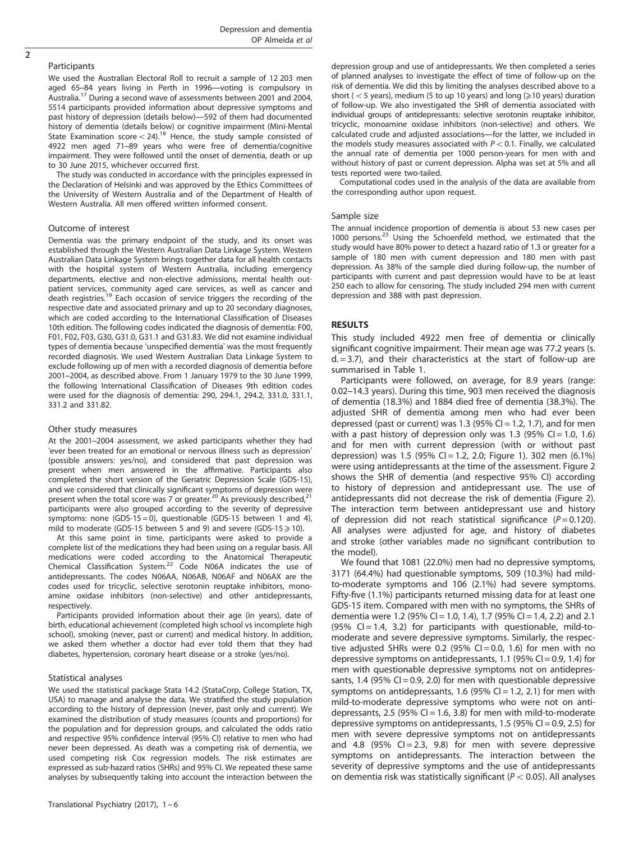#### Participants

We used the Australian Electoral Roll to recruit a sample of 12 203 men aged 65–84 years living in Perth in 1996—voting is compulsory in Australia.[17](#page-4-0) During a second wave of assessments between 2001 and 2004, 5514 participants provided information about depressive symptoms and past history of depression (details below)—592 of them had documented history of dementia (details below) or cognitive impairment (Mini-Mental State Examination score  $<$  24).<sup>[18](#page-4-0)</sup> Hence, the study sample consisted of 4922 men aged 71–89 years who were free of dementia/cognitive impairment. They were followed until the onset of dementia, death or up to 30 June 2015, whichever occurred first.

The study was conducted in accordance with the principles expressed in the Declaration of Helsinki and was approved by the Ethics Committees of the University of Western Australia and of the Department of Health of Western Australia. All men offered written informed consent.

#### Outcome of interest

Dementia was the primary endpoint of the study, and its onset was established through the Western Australian Data Linkage System. Western Australian Data Linkage System brings together data for all health contacts with the hospital system of Western Australia, including emergency departments, elective and non-elective admissions, mental health outpatient services, community aged care services, as well as cancer and death registries.[19](#page-4-0) Each occasion of service triggers the recording of the respective date and associated primary and up to 20 secondary diagnoses, which are coded according to the International Classification of Diseases 10th edition. The following codes indicated the diagnosis of dementia: F00, F01, F02, F03, G30, G31.0, G31.1 and G31.83. We did not examine individual types of dementia because 'unspecified dementia' was the most frequently recorded diagnosis. We used Western Australian Data Linkage System to exclude following up of men with a recorded diagnosis of dementia before 2001–2004, as described above. From 1 January 1979 to the 30 June 1999, the following International Classification of Diseases 9th edition codes were used for the diagnosis of dementia: 290, 294.1, 294.2, 331.0, 331.1, 331.2 and 331.82.

#### Other study measures

At the 2001–2004 assessment, we asked participants whether they had 'ever been treated for an emotional or nervous illness such as depression' (possible answers: yes/no), and considered that past depression was present when men answered in the affirmative. Participants also completed the short version of the Geriatric Depression Scale (GDS-15), and we considered that clinically significant symptoms of depression were present when the total score was 7 or greater.<sup>[20](#page-4-0)</sup> As previously described,<sup>[21](#page-4-0)</sup> participants were also grouped according to the severity of depressive symptoms: none (GDS-15 = 0), questionable (GDS-15 between 1 and 4), mild to moderate (GDS-15 between 5 and 9) and severe (GDS-15 $\geq$ 10).

At this same point in time, participants were asked to provide a complete list of the medications they had been using on a regular basis. All medications were coded according to the Anatomical Therapeutic<br>Chemical Classification System.<sup>[22](#page-4-0)</sup> Code N06A indicates the use of antidepressants. The codes N06AA, N06AB, N06AF and N06AX are the codes used for tricyclic, selective serotonin reuptake inhibitors, monoamine oxidase inhibitors (non-selective) and other antidepressants, respectively.

Participants provided information about their age (in years), date of birth, educational achievement (completed high school vs incomplete high school), smoking (never, past or current) and medical history. In addition, we asked them whether a doctor had ever told them that they had diabetes, hypertension, coronary heart disease or a stroke (yes/no).

#### Statistical analyses

We used the statistical package Stata 14.2 (StataCorp, College Station, TX, USA) to manage and analyse the data. We stratified the study population according to the history of depression (never, past only and current). We examined the distribution of study measures (counts and proportions) for the population and for depression groups, and calculated the odds ratio and respective 95% confidence interval (95% CI) relative to men who had never been depressed. As death was a competing risk of dementia, we used competing risk Cox regression models. The risk estimates are expressed as sub-hazard ratios (SHRs) and 95% CI. We repeated these same analyses by subsequently taking into account the interaction between the depression group and use of antidepressants. We then completed a series of planned analyses to investigate the effect of time of follow-up on the risk of dementia. We did this by limiting the analyses described above to a short ( $<$  5 years), medium (5 to up 10 years) and long ( $\ge$ 10 years) duration of follow-up. We also investigated the SHR of dementia associated with individual groups of antidepressants: selective serotonin reuptake inhibitor, tricyclic, monoamine oxidase inhibitors (non-selective) and others. We calculated crude and adjusted associations—for the latter, we included in the models study measures associated with  $P < 0.1$ . Finally, we calculated the annual rate of dementia per 1000 person-years for men with and without history of past or current depression. Alpha was set at 5% and all tests reported were two-tailed.

Computational codes used in the analysis of the data are available from the corresponding author upon request.

## Sample size

The annual incidence proportion of dementia is about 53 new cases per 1000 persons.<sup>23</sup> Using the Schoenfeld method, we estimated that the study would have 80% power to detect a hazard ratio of 1.3 or greater for a sample of 180 men with current depression and 180 men with past depression. As 38% of the sample died during follow-up, the number of participants with current and past depression would have to be at least 250 each to allow for censoring. The study included 294 men with current depression and 388 with past depression.

### RESULTS

This study included 4922 men free of dementia or clinically significant cognitive impairment. Their mean age was 77.2 years (s.  $d = 3.7$ ), and their characteristics at the start of follow-up are summarised in [Table 1.](#page-2-0)

Participants were followed, on average, for 8.9 years (range: 0.02–14.3 years). During this time, 903 men received the diagnosis of dementia (18.3%) and 1884 died free of dementia (38.3%). The adjusted SHR of dementia among men who had ever been depressed (past or current) was 1.3 (95% CI = 1.2, 1.7), and for men with a past history of depression only was 1.3 (95% CI = 1.0, 1.6) and for men with current depression (with or without past depression) was 1.5 (95% CI = 1.2, 2.0; [Figure 1](#page-2-0)). 302 men (6.1%) were using antidepressants at the time of the assessment. [Figure 2](#page-2-0) shows the SHR of dementia (and respective 95% CI) according to history of depression and antidepressant use. The use of antidepressants did not decrease the risk of dementia ([Figure 2](#page-2-0)). The interaction term between antidepressant use and history of depression did not reach statistical significance  $(P = 0.120)$ . All analyses were adjusted for age, and history of diabetes and stroke (other variables made no significant contribution to the model).

We found that 1081 (22.0%) men had no depressive symptoms, 3171 (64.4%) had questionable symptoms, 509 (10.3%) had mildto-moderate symptoms and 106 (2.1%) had severe symptoms. Fifty-five (1.1%) participants returned missing data for at least one GDS-15 item. Compared with men with no symptoms, the SHRs of dementia were 1.2 (95% CI = 1.0, 1.4), 1.7 (95% CI = 1.4, 2.2) and 2.1 (95%  $Cl = 1.4$ , 3.2) for participants with questionable, mild-tomoderate and severe depressive symptoms. Similarly, the respective adjusted SHRs were 0.2 (95% CI = 0.0, 1.6) for men with no depressive symptoms on antidepressants, 1.1 (95% CI = 0.9, 1.4) for men with questionable depressive symptoms not on antidepressants, 1.4 (95% CI = 0.9, 2.0) for men with questionable depressive symptoms on antidepressants, 1.6 (95% CI = 1.2, 2.1) for men with mild-to-moderate depressive symptoms who were not on antidepressants, 2.5 (95% CI = 1.6, 3.8) for men with mild-to-moderate depressive symptoms on antidepressants, 1.5 (95% CI = 0.9, 2.5) for men with severe depressive symptoms not on antidepressants and 4.8 (95%  $Cl = 2.3$ , 9.8) for men with severe depressive symptoms on antidepressants. The interaction between the severity of depressive symptoms and the use of antidepressants on dementia risk was statistically significant ( $P < 0.05$ ). All analyses

 $\overline{2}$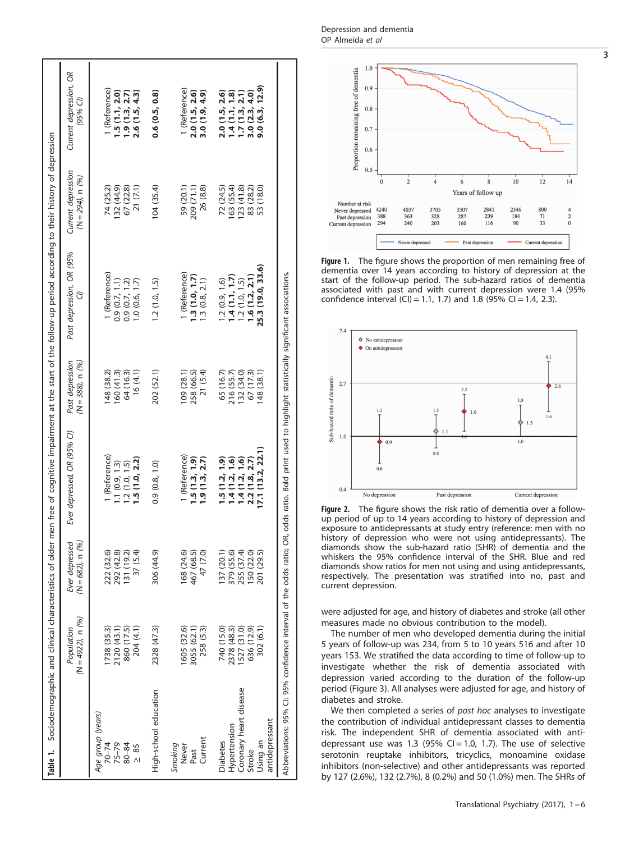<span id="page-2-0"></span>

| Table 1. Sociodemographic and clinical characteristics of older |                                         |                                        | men free of cognitive impairment at the start of the follow-up period according to their history of depression                                         |                                       |                                                 |                                          |                                                 |
|-----------------------------------------------------------------|-----------------------------------------|----------------------------------------|--------------------------------------------------------------------------------------------------------------------------------------------------------|---------------------------------------|-------------------------------------------------|------------------------------------------|-------------------------------------------------|
|                                                                 | (N = 4922), n $(%)$<br>Population       | Ever depressed<br>( $N = 682$ ), n (%) | Ever depressed, OR (95% CI)                                                                                                                            | Past depression<br>(N = 388), n $(%)$ | Past depression, OR (95%                        | Current depression<br>(N = 294), n $(%)$ | Current depression, OR<br>(95% Cl)              |
| Age group (years)<br>$70 - 74$<br>$75 - 79$<br>$80 - 84$        | 738 (35.3)<br>860 (17.5)<br>2120 (43.1) | 222 (32.6)<br>292 (42.8)<br>131 (19.2) | 1 (Reference)<br>1.1(0.9, 1.3)<br>1.2(1.0, 1.5)                                                                                                        | 148(38.2)<br>160 (41.3)<br>64 (16.3)  | 1 (Reference)<br>0.9(0.7, 1.1)<br>0.9(0.7, 1.2) | 74 (25.2)<br>132 (44.9)<br>67 (22.8)     | I (Reference)<br>1.5(1.1, 2.0)<br>1.9(1.3, 2.7) |
| High-school education<br>$\geq 85$                              | 2328 (47.3)<br>204 (4.1)                | 37 (5.4)<br>306 (44.9)                 | 1.5(1.0, 2.2)<br>0.9(0.8, 1.0)                                                                                                                         | 202 (52.1)<br>16(4.1)                 | 1.0(0.6, 1.7)<br>1.2(1.0, 1.5)                  | 104 (35.4)<br>21 (7.1)                   | 2.6(1.5, 4.3)<br>0.6(0.5, 0.8)                  |
| Current<br>Smoking<br>Never<br>Past                             | 605 (32.6)<br>258 (5.3)<br>3055 (62.1)  | 168 (24.6)<br>47 (7.0)<br>467 (68.5)   | 1 (Reference)<br>1.5 (1.3, 1.9)<br>1.9(1.3, 2.7)                                                                                                       | 09 (28.1)<br>258 (66.5)<br>21 (5.4)   | l (Reference)<br>1.3(1.0, 1.7)<br>1.3(0.8, 2.1) | 26 (8.8)<br>209 (71.1)<br>59 (20.1)      | l (Reference)<br>2.0(1.5, 2.6)<br>3.0(1.9, 4.9) |
| Coronary heart disease<br>Hypertension<br><b>Diabetes</b>       | 740 (15.0)<br>527 (31.0)<br>2378 (48.3) | 137(20.1)<br>255 (37.4)<br>379 (55.6)  | 1.5(1.2, 1.9)<br>$1,4$ (1.2, 1.6)<br>1.4 (1.2, 1.6)<br>2.2 (1.8, 2.7)                                                                                  | 65 (16.7)<br>216 (55.7)<br>32 (34.0)  | 1.4(1.1, 1.7)<br>1.2(0.9, 1.6)<br>1.2(1.0, 1.5) | 163 (55.4)<br>72 (24.5)<br>123(41.8)     | 2.0(1.5, 2.6)<br>1.4(1.1, 1.8)<br>1.7(1.3, 2.1) |
| antidepressant<br>Using an<br>Stroke                            | 636 (12.9)<br>302 (6.1)                 | 150 (22.0)<br>201 (29.5)               | 17.1 (13.2, 22.1)                                                                                                                                      | 67 (17.3)<br> 48(38.1)                | 25.3 (19.0, 33.6)<br>1.6(1.2, 2.1)              | 83 (28.2)<br>53 (18.0)                   | 9.0(6.3, 12.9)<br>3.0(2.3, 4.0)                 |
|                                                                 |                                         |                                        | Abbreviations: 95% CI: 95% confidence interval of the odds ratio; OR, odds ratio. Bold print used to highlight statistically significant associations. |                                       |                                                 |                                          |                                                 |



**Figure 1.** The figure shows the proportion of men remaining free of dementia over 14 years according to history of depression at the dementia over 14 years according to history of depression at the start of the follow-up period. The sub-hazard ratios of dementia associated with past and with current depression were 1.4 (95% confidence interval (CI) = 1.1, 1.7) and 1.8 (95% CI = 1.4, 2.3).



**Figure 2.** The figure shows the risk ratio of dementia over a follow-<br>up period of up to 14 years according to history of depression and up period of up to 14 years according to history of depression and exposure to antidepressants at study entry (reference: men with no history of depression who were not using antidepressants). The diamonds show the sub-hazard ratio (SHR) of dementia and the whiskers the 95% con fidence interval of the SHR. Blue and red diamonds show ratios for men not using and using antidepressants, respectively. The presentation was strati fied into no, past and current depression.

were adjusted for age, and history of diabetes and stroke (all other measures made no obvious contribution to the model).

The number of men who developed dementia during the initial 5 years of follow-up was 234, from 5 to 10 years 516 and after 10 years 153. We strati fied the data according to time of follow-up to investigate whether the risk of dementia associated with depression varied according to the duration of the follow-up period ([Figure 3](#page-3-0)). All analyses were adjusted for age, and history of diabetes and stroke.

We then completed a series of post hoc analyses to investigate the contribution of individual antidepressant classes to dementia risk. The independent SHR of dementia associated with antidepressant use was 1.3 (95% CI = 1.0, 1.7). The use of selective serotonin reuptake inhibitors, tricyclics, monoamine oxidase inhibitors (non-selective) and other antidepressants was reported by 127 (2.6%), 132 (2.7%), 8 (0.2%) and 50 (1.0%) men. The SHRs of 3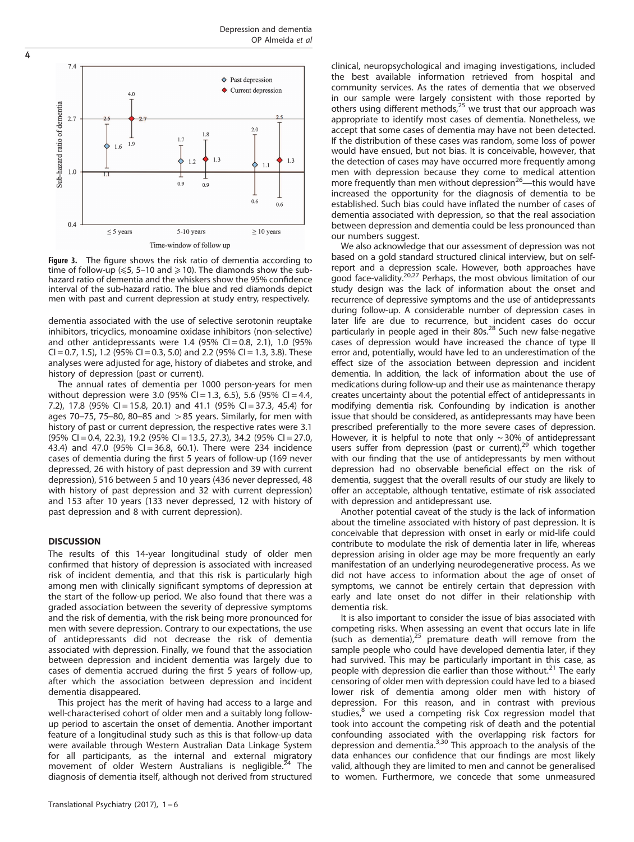

Figure 3. The figure shows the risk ratio of dementia according to time of follow-up ( $\leq 5$ , 5–10 and  $\geq 10$ ). The diamonds show the subhazard ratio of dementia and the whiskers show the 95% confidence interval of the sub-hazard ratio. The blue and red diamonds depict men with past and current depression at study entry, respectively.

dementia associated with the use of selective serotonin reuptake inhibitors, tricyclics, monoamine oxidase inhibitors (non-selective) and other antidepressants were 1.4 (95% CI = 0.8, 2.1), 1.0 (95%  $Cl = 0.7, 1.5$ ), 1.2 (95%  $Cl = 0.3, 5.0$ ) and 2.2 (95%  $Cl = 1.3, 3.8$ ). These analyses were adjusted for age, history of diabetes and stroke, and history of depression (past or current).

The annual rates of dementia per 1000 person-years for men without depression were 3.0 (95% CI = 1.3, 6.5), 5.6 (95% CI = 4.4, 7.2), 17.8 (95% CI = 15.8, 20.1) and 41.1 (95% CI = 37.3, 45.4) for ages 70–75, 75–80, 80–85 and  $>85$  years. Similarly, for men with history of past or current depression, the respective rates were 3.1 (95% CI = 0.4, 22.3), 19.2 (95% CI = 13.5, 27.3), 34.2 (95% CI = 27.0, 43.4) and 47.0 (95% CI = 36.8, 60.1). There were 234 incidence cases of dementia during the first 5 years of follow-up (169 never depressed, 26 with history of past depression and 39 with current depression), 516 between 5 and 10 years (436 never depressed, 48 with history of past depression and 32 with current depression) and 153 after 10 years (133 never depressed, 12 with history of past depression and 8 with current depression).

### **DISCUSSION**

<span id="page-3-0"></span>4

The results of this 14-year longitudinal study of older men confirmed that history of depression is associated with increased risk of incident dementia, and that this risk is particularly high among men with clinically significant symptoms of depression at the start of the follow-up period. We also found that there was a graded association between the severity of depressive symptoms and the risk of dementia, with the risk being more pronounced for men with severe depression. Contrary to our expectations, the use of antidepressants did not decrease the risk of dementia associated with depression. Finally, we found that the association between depression and incident dementia was largely due to cases of dementia accrued during the first 5 years of follow-up, after which the association between depression and incident dementia disappeared.

This project has the merit of having had access to a large and well-characterised cohort of older men and a suitably long followup period to ascertain the onset of dementia. Another important feature of a longitudinal study such as this is that follow-up data were available through Western Australian Data Linkage System for all participants, as the internal and external migratory movement of older Western Australians is negligible.<sup>[24](#page-4-0)</sup> The diagnosis of dementia itself, although not derived from structured clinical, neuropsychological and imaging investigations, included the best available information retrieved from hospital and community services. As the rates of dementia that we observed in our sample were largely consistent with those reported by others using different methods, $25$  we trust that our approach was appropriate to identify most cases of dementia. Nonetheless, we accept that some cases of dementia may have not been detected. If the distribution of these cases was random, some loss of power would have ensued, but not bias. It is conceivable, however, that the detection of cases may have occurred more frequently among men with depression because they come to medical attention more frequently than men without depression<sup>[26](#page-4-0)</sup>—this would have increased the opportunity for the diagnosis of dementia to be established. Such bias could have inflated the number of cases of dementia associated with depression, so that the real association between depression and dementia could be less pronounced than our numbers suggest.

We also acknowledge that our assessment of depression was not based on a gold standard structured clinical interview, but on selfreport and a depression scale. However, both approaches have good face-validity.<sup>20[,27](#page-5-0)</sup> Perhaps, the most obvious limitation of our study design was the lack of information about the onset and recurrence of depressive symptoms and the use of antidepressants during follow-up. A considerable number of depression cases in later life are due to recurrence, but incident cases do occur particularly in people aged in their 80s.<sup>28</sup> Such new false-negative cases of depression would have increased the chance of type II error and, potentially, would have led to an underestimation of the effect size of the association between depression and incident dementia. In addition, the lack of information about the use of medications during follow-up and their use as maintenance therapy creates uncertainty about the potential effect of antidepressants in modifying dementia risk. Confounding by indication is another issue that should be considered, as antidepressants may have been prescribed preferentially to the more severe cases of depression. However, it is helpful to note that only  $\sim$  30% of antidepressant users suffer from depression (past or current),<sup>29</sup> which together with our finding that the use of antidepressants by men without depression had no observable beneficial effect on the risk of dementia, suggest that the overall results of our study are likely to offer an acceptable, although tentative, estimate of risk associated with depression and antidepressant use.

Another potential caveat of the study is the lack of information about the timeline associated with history of past depression. It is conceivable that depression with onset in early or mid-life could contribute to modulate the risk of dementia later in life, whereas depression arising in older age may be more frequently an early manifestation of an underlying neurodegenerative process. As we did not have access to information about the age of onset of symptoms, we cannot be entirely certain that depression with early and late onset do not differ in their relationship with dementia risk.

It is also important to consider the issue of bias associated with competing risks. When assessing an event that occurs late in life (such as dementia), $25$  premature death will remove from the sample people who could have developed dementia later, if they had survived. This may be particularly important in this case, as people with depression die earlier than those without.<sup>[21](#page-4-0)</sup> The early censoring of older men with depression could have led to a biased lower risk of dementia among older men with history of depression. For this reason, and in contrast with previous studies, $8$  we used a competing risk Cox regression model that took into account the competing risk of death and the potential confounding associated with the overlapping risk factors for depression and dementia[.3](#page-4-0)[,30](#page-5-0) This approach to the analysis of the data enhances our confidence that our findings are most likely valid, although they are limited to men and cannot be generalised to women. Furthermore, we concede that some unmeasured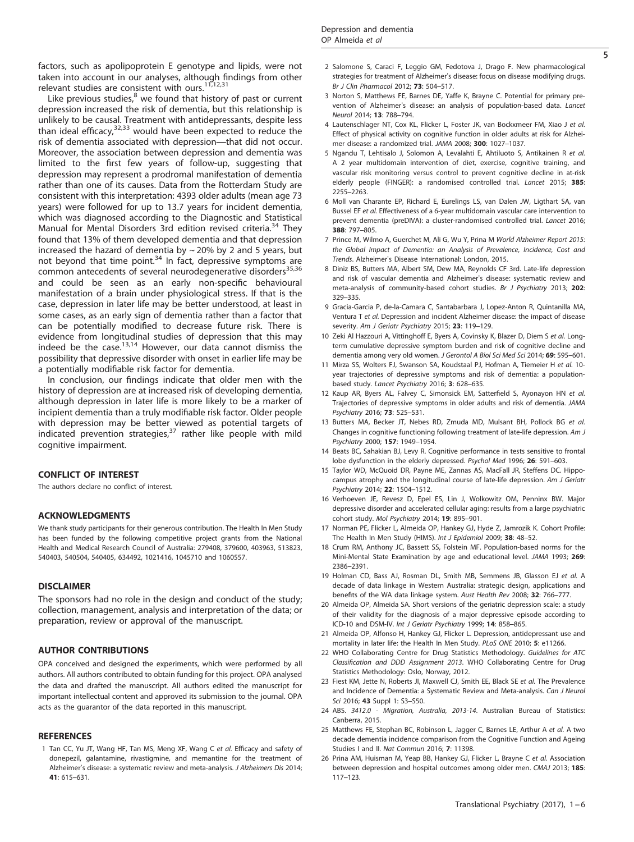<span id="page-4-0"></span>factors, such as apolipoprotein E genotype and lipids, were not taken into account in our analyses, although findings from other relevant studies are consistent with ours.<sup>11,12[,31](#page-5-0)</sup>

Like previous studies, $8$  we found that history of past or current depression increased the risk of dementia, but this relationship is unlikely to be causal. Treatment with antidepressants, despite less than ideal efficacy,[32,33](#page-5-0) would have been expected to reduce the risk of dementia associated with depression—that did not occur. Moreover, the association between depression and dementia was limited to the first few years of follow-up, suggesting that depression may represent a prodromal manifestation of dementia rather than one of its causes. Data from the Rotterdam Study are consistent with this interpretation: 4393 older adults (mean age 73 years) were followed for up to 13.7 years for incident dementia, which was diagnosed according to the Diagnostic and Statistical Manual for Mental Disorders 3rd edition revised criteria.<sup>[34](#page-5-0)</sup> They found that 13% of them developed dementia and that depression increased the hazard of dementia by  $\sim$  20% by 2 and 5 years, but not beyond that time point.<sup>[34](#page-5-0)</sup> In fact, depressive symptoms are common antecedents of several neurodegenerative disorders $35,36$ and could be seen as an early non-specific behavioural manifestation of a brain under physiological stress. If that is the case, depression in later life may be better understood, at least in some cases, as an early sign of dementia rather than a factor that can be potentially modified to decrease future risk. There is evidence from longitudinal studies of depression that this may indeed be the case.<sup>13,14</sup> However, our data cannot dismiss the possibility that depressive disorder with onset in earlier life may be a potentially modifiable risk factor for dementia.

In conclusion, our findings indicate that older men with the history of depression are at increased risk of developing dementia, although depression in later life is more likely to be a marker of incipient dementia than a truly modifiable risk factor. Older people with depression may be better viewed as potential targets of indicated prevention strategies,[37](#page-5-0) rather like people with mild cognitive impairment.

# CONFLICT OF INTEREST

The authors declare no conflict of interest.

## ACKNOWLEDGMENTS

We thank study participants for their generous contribution. The Health In Men Study has been funded by the following competitive project grants from the National Health and Medical Research Council of Australia: 279408, 379600, 403963, 513823, 540403, 540504, 540405, 634492, 1021416, 1045710 and 1060557.

## DISCLAIMER

The sponsors had no role in the design and conduct of the study; collection, management, analysis and interpretation of the data; or preparation, review or approval of the manuscript.

#### AUTHOR CONTRIBUTIONS

OPA conceived and designed the experiments, which were performed by all authors. All authors contributed to obtain funding for this project. OPA analysed the data and drafted the manuscript. All authors edited the manuscript for important intellectual content and approved its submission to the journal. OPA acts as the guarantor of the data reported in this manuscript.

#### REFERENCES

1 Tan CC, Yu JT, Wang HF, Tan MS, Meng XF, Wang C et al. Efficacy and safety of donepezil, galantamine, rivastigmine, and memantine for the treatment of Alzheimer's disease: a systematic review and meta-analysis. J Alzheimers Dis 2014; 41: 615–631.

- 2 Salomone S, Caraci F, Leggio GM, Fedotova J, Drago F. New pharmacological strategies for treatment of Alzheimer's disease: focus on disease modifying drugs. Br J Clin Pharmacol 2012; 73: 504-517.
- 3 Norton S, Matthews FE, Barnes DE, Yaffe K, Brayne C. Potential for primary prevention of Alzheimer's disease: an analysis of population-based data. Lancet Neurol 2014; 13: 788–794.
- 4 Lautenschlager NT, Cox KL, Flicker L, Foster JK, van Bockxmeer FM, Xiao J et al. Effect of physical activity on cognitive function in older adults at risk for Alzheimer disease: a randomized trial. JAMA 2008; 300: 1027–1037.
- 5 Ngandu T, Lehtisalo J, Solomon A, Levalahti E, Ahtiluoto S, Antikainen R et al. A 2 year multidomain intervention of diet, exercise, cognitive training, and vascular risk monitoring versus control to prevent cognitive decline in at-risk elderly people (FINGER): a randomised controlled trial. Lancet 2015; 385: 2255–2263.
- 6 Moll van Charante EP, Richard E, Eurelings LS, van Dalen JW, Ligthart SA, van Bussel EF et al. Effectiveness of a 6-year multidomain vascular care intervention to prevent dementia (preDIVA): a cluster-randomised controlled trial. Lancet 2016; 388: 797–805.
- 7 Prince M, Wilmo A, Guerchet M, Ali G, Wu Y, Prina M World Alzheimer Report 2015: the Global Impact of Dementia: an Analysis of Prevalence, Incidence, Cost and Trends. Alzheimer's Disease International: London, 2015.
- 8 Diniz BS, Butters MA, Albert SM, Dew MA, Reynolds CF 3rd. Late-life depression and risk of vascular dementia and Alzheimer's disease: systematic review and meta-analysis of community-based cohort studies. Br J Psychiatry 2013; 202: 329–335.
- 9 Gracia-Garcia P, de-la-Camara C, Santabarbara J, Lopez-Anton R, Quintanilla MA, Ventura T et al. Depression and incident Alzheimer disease: the impact of disease severity. Am J Geriatr Psychiatry 2015: 23: 119-129.
- 10 Zeki Al Hazzouri A, Vittinghoff E, Byers A, Covinsky K, Blazer D, Diem S et al. Longterm cumulative depressive symptom burden and risk of cognitive decline and dementia among very old women. J Gerontol A Biol Sci Med Sci 2014; 69: 595-601.
- 11 Mirza SS, Wolters FJ, Swanson SA, Koudstaal PJ, Hofman A, Tiemeier H et al. 10year trajectories of depressive symptoms and risk of dementia: a populationbased study. Lancet Psychiatry 2016; 3: 628–635.
- 12 Kaup AR, Byers AL, Falvey C, Simonsick EM, Satterfield S, Ayonayon HN et al. Trajectories of depressive symptoms in older adults and risk of dementia. JAMA Psychiatry 2016; 73: 525–531.
- 13 Butters MA, Becker JT, Nebes RD, Zmuda MD, Mulsant BH, Pollock BG et al. Changes in cognitive functioning following treatment of late-life depression. Am J Psychiatry 2000; 157: 1949–1954.
- 14 Beats BC, Sahakian BJ, Levy R. Cognitive performance in tests sensitive to frontal lobe dysfunction in the elderly depressed. Psychol Med 1996; 26: 591–603.
- 15 Taylor WD, McQuoid DR, Payne ME, Zannas AS, MacFall JR, Steffens DC. Hippocampus atrophy and the longitudinal course of late-life depression. Am J Geriatr Psychiatry 2014; 22: 1504–1512.
- 16 Verhoeven JE, Revesz D, Epel ES, Lin J, Wolkowitz OM, Penninx BW. Major depressive disorder and accelerated cellular aging: results from a large psychiatric cohort study. Mol Psychiatry 2014; 19: 895–901.
- 17 Norman PE, Flicker L, Almeida OP, Hankey GJ, Hyde Z, Jamrozik K. Cohort Profile: The Health In Men Study (HIMS). Int J Epidemiol 2009; 38: 48-52.
- 18 Crum RM, Anthony JC, Bassett SS, Folstein MF. Population-based norms for the Mini-Mental State Examination by age and educational level. JAMA 1993; 269: 2386–2391.
- 19 Holman CD, Bass AJ, Rosman DL, Smith MB, Semmens JB, Glasson EJ et al. A decade of data linkage in Western Australia: strategic design, applications and benefits of the WA data linkage system. Aust Health Rev 2008; 32: 766–777.
- 20 Almeida OP, Almeida SA. Short versions of the geriatric depression scale: a study of their validity for the diagnosis of a major depressive episode according to ICD-10 and DSM-IV. Int J Geriatr Psychiatry 1999; 14: 858–865.
- 21 Almeida OP, Alfonso H, Hankey GJ, Flicker L. Depression, antidepressant use and mortality in later life: the Health In Men Study. PLoS ONE 2010; 5: e11266.
- 22 WHO Collaborating Centre for Drug Statistics Methodology. Guidelines for ATC Classification and DDD Assignment 2013. WHO Collaborating Centre for Drug Statistics Methodology: Oslo, Norway, 2012.
- 23 Fiest KM, Jette N, Roberts JI, Maxwell CJ, Smith EE, Black SE et al. The Prevalence and Incidence of Dementia: a Systematic Review and Meta-analysis. Can J Neurol Sci 2016; **43** Suppl 1: S3-S50.
- 24 ABS. 3412.0 Migration, Australia, 2013-14. Australian Bureau of Statistics: Canberra, 2015.
- 25 Matthews FE, Stephan BC, Robinson L, Jagger C, Barnes LE, Arthur A et al. A two decade dementia incidence comparison from the Cognitive Function and Ageing Studies I and II. Nat Commun 2016; 7: 11398.
- 26 Prina AM, Huisman M, Yeap BB, Hankey GJ, Flicker L, Brayne C et al. Association between depression and hospital outcomes among older men. CMAJ 2013; 185: 117–123.